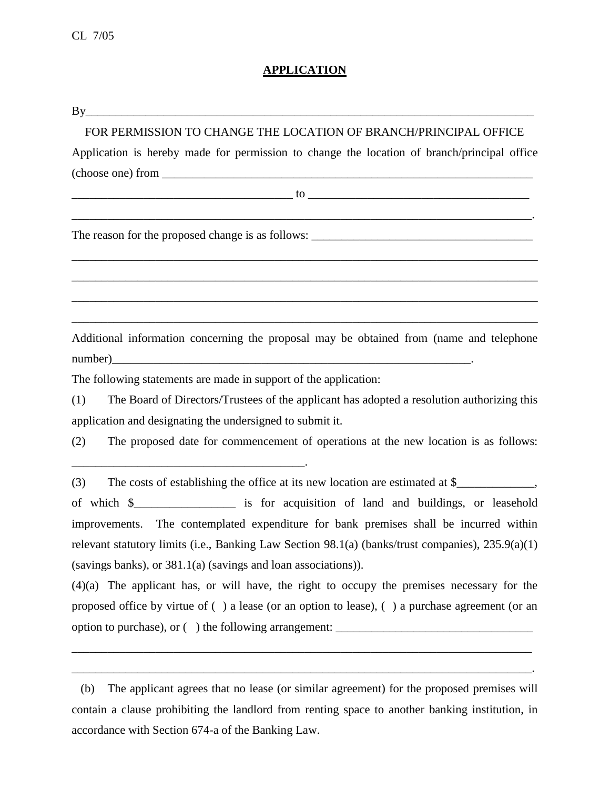# **APPLICATION**

| FOR PERMISSION TO CHANGE THE LOCATION OF BRANCH/PRINCIPAL OFFICE                                                                                                                                                             |
|------------------------------------------------------------------------------------------------------------------------------------------------------------------------------------------------------------------------------|
| Application is hereby made for permission to change the location of branch/principal office                                                                                                                                  |
| $\frac{1}{2}$ (choose one) from $\frac{1}{2}$ (choose one) from $\frac{1}{2}$                                                                                                                                                |
| $10$ and $10$ and $10$ and $10$ and $10$ and $10$ and $10$ and $10$ and $10$ and $10$ and $10$ and $10$ and $10$ and $10$ and $10$ and $10$ and $10$ and $10$ and $10$ and $10$ and $10$ and $10$ and $10$ and $10$ and $10$ |
| <u> 2000 - 2000 - 2000 - 2000 - 2000 - 2000 - 2000 - 2000 - 2000 - 2000 - 2000 - 2000 - 2000 - 2000 - 2000 - 200</u>                                                                                                         |
| ,我们也不能在这里的时候,我们也不能在这里的时候,我们也不能不能不能不能不能不能不能不能不能不能不能不能不能不能不能。""我们的是我们的,我们也不能不能不能不能                                                                                                                                             |
|                                                                                                                                                                                                                              |
| Additional information concerning the proposal may be obtained from (name and telephone                                                                                                                                      |
| The following statements are made in support of the application:                                                                                                                                                             |
| (1)<br>The Board of Directors/Trustees of the applicant has adopted a resolution authorizing this                                                                                                                            |
| application and designating the undersigned to submit it.<br>(2)<br>The proposed date for commencement of operations at the new location is as follows:                                                                      |
| (3)                                                                                                                                                                                                                          |
| of which \$______________________ is for acquisition of land and buildings, or leasehold                                                                                                                                     |
| improvements. The contemplated expenditure for bank premises shall be incurred within                                                                                                                                        |
| relevant statutory limits (i.e., Banking Law Section 98.1(a) (banks/trust companies), 235.9(a)(1)                                                                                                                            |
| (savings banks), or 381.1(a) (savings and loan associations)).                                                                                                                                                               |
| (4)(a) The applicant has, or will have, the right to occupy the premises necessary for the                                                                                                                                   |
| proposed office by virtue of () a lease (or an option to lease), () a purchase agreement (or an                                                                                                                              |
|                                                                                                                                                                                                                              |
|                                                                                                                                                                                                                              |

\_\_\_\_\_\_\_\_\_\_\_\_\_\_\_\_\_\_\_\_\_\_\_\_\_\_\_\_\_\_\_\_\_\_\_\_\_\_\_\_\_\_\_\_\_\_\_\_\_\_\_\_\_\_\_\_\_\_\_\_\_\_\_\_\_\_\_\_\_\_\_\_\_\_\_\_\_.

 <sup>(</sup>b) The applicant agrees that no lease (or similar agreement) for the proposed premises will contain a clause prohibiting the landlord from renting space to another banking institution, in accordance with Section 674-a of the Banking Law.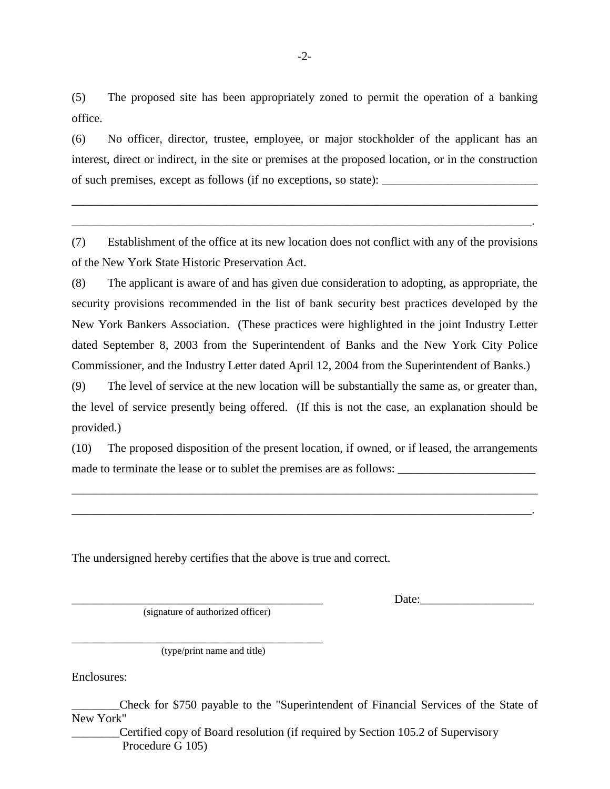(5) The proposed site has been appropriately zoned to permit the operation of a banking office.

(6) No officer, director, trustee, employee, or major stockholder of the applicant has an interest, direct or indirect, in the site or premises at the proposed location, or in the construction of such premises, except as follows (if no exceptions, so state): \_\_\_\_\_\_\_\_\_\_\_\_\_\_\_\_\_\_\_\_\_\_\_\_\_\_

\_\_\_\_\_\_\_\_\_\_\_\_\_\_\_\_\_\_\_\_\_\_\_\_\_\_\_\_\_\_\_\_\_\_\_\_\_\_\_\_\_\_\_\_\_\_\_\_\_\_\_\_\_\_\_\_\_\_\_\_\_\_\_\_\_\_\_\_\_\_\_\_\_\_\_\_\_\_

\_\_\_\_\_\_\_\_\_\_\_\_\_\_\_\_\_\_\_\_\_\_\_\_\_\_\_\_\_\_\_\_\_\_\_\_\_\_\_\_\_\_\_\_\_\_\_\_\_\_\_\_\_\_\_\_\_\_\_\_\_\_\_\_\_\_\_\_\_\_\_\_\_\_\_\_\_.

(7) Establishment of the office at its new location does not conflict with any of the provisions of the New York State Historic Preservation Act.

(8) The applicant is aware of and has given due consideration to adopting, as appropriate, the security provisions recommended in the list of bank security best practices developed by the New York Bankers Association. (These practices were highlighted in the joint Industry Letter dated September 8, 2003 from the Superintendent of Banks and the New York City Police Commissioner, and the Industry Letter dated April 12, 2004 from the Superintendent of Banks.)

(9) The level of service at the new location will be substantially the same as, or greater than, the level of service presently being offered. (If this is not the case, an explanation should be provided.)

(10) The proposed disposition of the present location, if owned, or if leased, the arrangements made to terminate the lease or to sublet the premises are as follows: \_\_\_\_\_\_\_\_\_\_\_\_\_\_\_\_\_\_\_\_\_\_\_

\_\_\_\_\_\_\_\_\_\_\_\_\_\_\_\_\_\_\_\_\_\_\_\_\_\_\_\_\_\_\_\_\_\_\_\_\_\_\_\_\_\_\_\_\_\_\_\_\_\_\_\_\_\_\_\_\_\_\_\_\_\_\_\_\_\_\_\_\_\_\_\_\_\_\_\_\_\_

\_\_\_\_\_\_\_\_\_\_\_\_\_\_\_\_\_\_\_\_\_\_\_\_\_\_\_\_\_\_\_\_\_\_\_\_\_\_\_\_\_\_\_\_\_\_\_\_\_\_\_\_\_\_\_\_\_\_\_\_\_\_\_\_\_\_\_\_\_\_\_\_\_\_\_\_\_.

The undersigned hereby certifies that the above is true and correct.

(signature of authorized officer)

 $Date:$ 

\_\_\_\_\_\_\_\_\_\_\_\_\_\_\_\_\_\_\_\_\_\_\_\_\_\_\_\_\_\_\_\_\_\_\_\_\_\_\_\_\_\_ (type/print name and title)

Enclosures:

\_\_\_\_\_\_\_\_Check for \$750 payable to the "Superintendent of Financial Services of the State of New York"

Certified copy of Board resolution (if required by Section 105.2 of Supervisory Procedure G 105)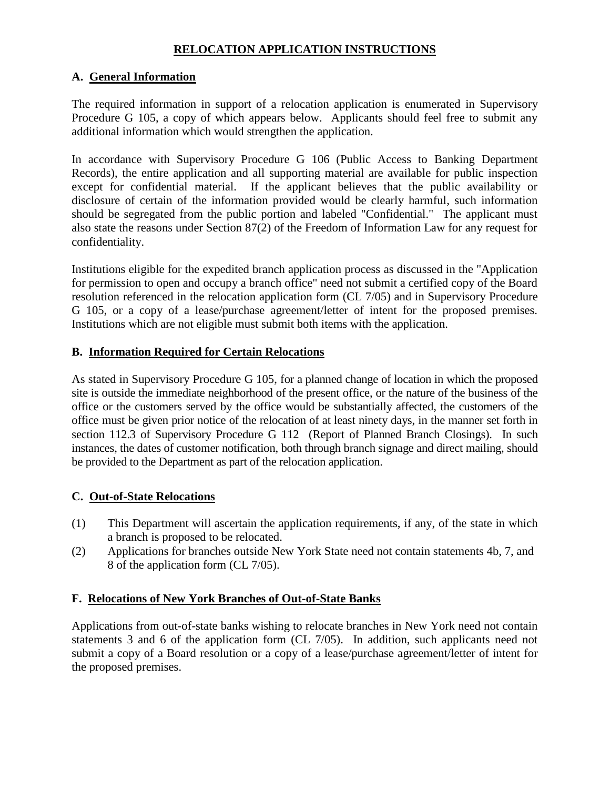### **RELOCATION APPLICATION INSTRUCTIONS**

### **A. General Information**

The required information in support of a relocation application is enumerated in Supervisory Procedure G 105, a copy of which appears below. Applicants should feel free to submit any additional information which would strengthen the application.

In accordance with Supervisory Procedure G 106 (Public Access to Banking Department Records), the entire application and all supporting material are available for public inspection except for confidential material. If the applicant believes that the public availability or disclosure of certain of the information provided would be clearly harmful, such information should be segregated from the public portion and labeled "Confidential." The applicant must also state the reasons under Section 87(2) of the Freedom of Information Law for any request for confidentiality.

Institutions eligible for the expedited branch application process as discussed in the "Application for permission to open and occupy a branch office" need not submit a certified copy of the Board resolution referenced in the relocation application form (CL 7/05) and in Supervisory Procedure G 105, or a copy of a lease/purchase agreement/letter of intent for the proposed premises. Institutions which are not eligible must submit both items with the application.

#### **B. Information Required for Certain Relocations**

As stated in Supervisory Procedure G 105, for a planned change of location in which the proposed site is outside the immediate neighborhood of the present office, or the nature of the business of the office or the customers served by the office would be substantially affected, the customers of the office must be given prior notice of the relocation of at least ninety days, in the manner set forth in section 112.3 of Supervisory Procedure G 112 (Report of Planned Branch Closings). In such instances, the dates of customer notification, both through branch signage and direct mailing, should be provided to the Department as part of the relocation application.

# **C. Out-of-State Relocations**

- (1) This Department will ascertain the application requirements, if any, of the state in which a branch is proposed to be relocated.
- (2) Applications for branches outside New York State need not contain statements 4b, 7, and 8 of the application form (CL 7/05).

# **F. Relocations of New York Branches of Out-of-State Banks**

Applications from out-of-state banks wishing to relocate branches in New York need not contain statements 3 and 6 of the application form (CL 7/05). In addition, such applicants need not submit a copy of a Board resolution or a copy of a lease/purchase agreement/letter of intent for the proposed premises.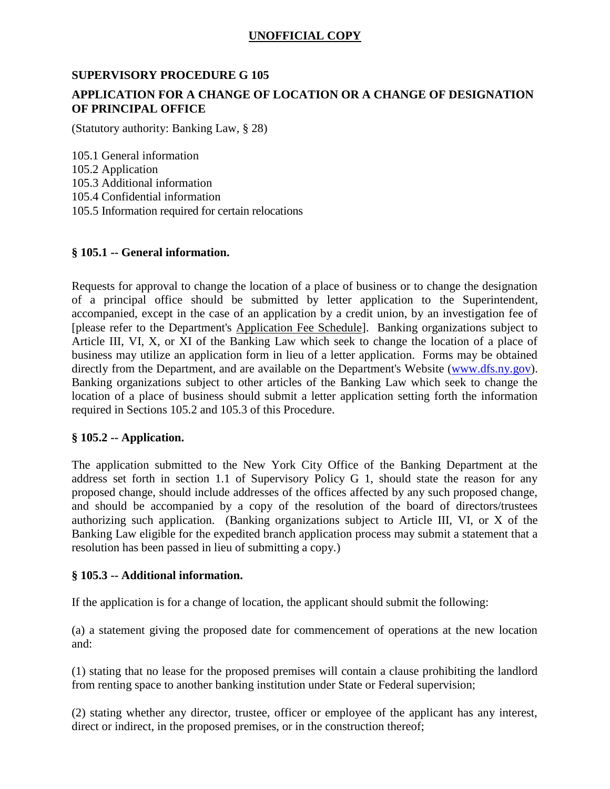# **UNOFFICIAL COPY**

### **SUPERVISORY PROCEDURE G 105**

# **APPLICATION FOR A CHANGE OF LOCATION OR A CHANGE OF DESIGNATION OF PRINCIPAL OFFICE**

(Statutory authority: Banking Law, § 28)

105.1 General information 105.2 Application 105.3 Additional information 105.4 Confidential information 105.5 Information required for certain relocations

#### **§ 105.1 -- General information.**

Requests for approval to change the location of a place of business or to change the designation of a principal office should be submitted by letter application to the Superintendent, accompanied, except in the case of an application by a credit union, by an investigation fee of [please refer to the Department's Application Fee Schedule]. Banking organizations subject to Article III, VI, X, or XI of the Banking Law which seek to change the location of a place of business may utilize an application form in lieu of a letter application. Forms may be obtained directly from the Department, and are available on the Department's Website [\(www.dfs.ny.gov\)](http://www.dfs.ny.gov/). Banking organizations subject to other articles of the Banking Law which seek to change the location of a place of business should submit a letter application setting forth the information required in Sections 105.2 and 105.3 of this Procedure.

#### **§ 105.2 -- Application.**

The application submitted to the New York City Office of the Banking Department at the address set forth in section 1.1 of Supervisory Policy G 1, should state the reason for any proposed change, should include addresses of the offices affected by any such proposed change, and should be accompanied by a copy of the resolution of the board of directors/trustees authorizing such application. (Banking organizations subject to Article III, VI, or X of the Banking Law eligible for the expedited branch application process may submit a statement that a resolution has been passed in lieu of submitting a copy.)

#### **§ 105.3 -- Additional information.**

If the application is for a change of location, the applicant should submit the following:

(a) a statement giving the proposed date for commencement of operations at the new location and:

(1) stating that no lease for the proposed premises will contain a clause prohibiting the landlord from renting space to another banking institution under State or Federal supervision;

(2) stating whether any director, trustee, officer or employee of the applicant has any interest, direct or indirect, in the proposed premises, or in the construction thereof;